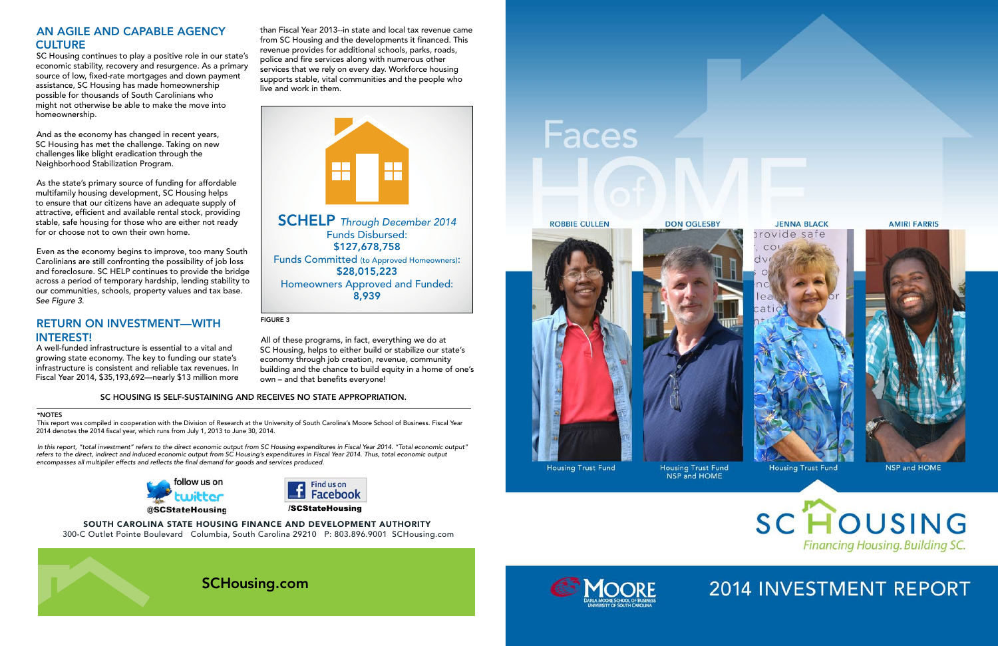# AN AGILE AND CAPABLE AGENCY **CULTURE**

SC Housing continues to play a positive role in our state's economic stability, recovery and resurgence. As a primary source of low, fixed-rate mortgages and down payment assistance, SC Housing has made homeownership possible for thousands of South Carolinians who might not otherwise be able to make the move into homeownership.

And as the economy has changed in recent years, SC Housing has met the challenge. Taking on new challenges like blight eradication through the Neighborhood Stabilization Program.

As the state's primary source of funding for affordable multifamily housing development, SC Housing helps to ensure that our citizens have an adequate supply of attractive, efficient and available rental stock, providing stable, safe housing for those who are either not ready for or choose not to own their own home.

Even as the economy begins to improve, too many South Carolinians are still confronting the possibility of job loss and foreclosure. SC HELP continues to provide the bridge across a period of temporary hardship, lending stability to our communities, schools, property values and tax base. *See Figure 3.*

# RETURN ON INVESTMENT—WITH INTEREST!

A well-funded infrastructure is essential to a vital and growing state economy. The key to funding our state's infrastructure is consistent and reliable tax revenues. In Fiscal Year 2014, \$35,193,692—nearly \$13 million more than Fiscal Year 2013--in state and local tax revenue came from SC Housing and the developments it financed. This revenue provides for additional schools, parks, roads, police and fire services along with numerous other services that we rely on every day. Workforce housing supports stable, vital communities and the people who live and work in them.

All of these programs, in fact, everything we do at SC Housing, helps to either build or stabilize our state's economy through job creation, revenue, community building and the chance to build equity in a home of one's own – and that benefits everyone!

FIGURE 3

### \*NOTES

This report was compiled in cooperation with the Division of Research at the University of South Carolina's Moore School of Business. Fiscal Year 2014 denotes the 2014 fiscal year, which runs from July 1, 2013 to June 30, 2014.

*In this report, "total investment" refers to the direct economic output from SC Housing expenditures in Fiscal Year 2014. "Total economic output" refers to the direct, indirect and induced economic output from SC Housing's expenditures in Fiscal Year 2014. Thus, total economic output encompasses all multiplier effects and reflects the final demand for goods and services produced.*





## SOUTH CAROLINA STATE HOUSING FINANCE AND DEVELOPMENT AUTHORITY 300-C Outlet Pointe Boulevard Columbia, South Carolina 29210 P: 803.896.9001 SCHousing.com





# **Faces**





**Housing Trust Fund** 

**AMIRI FARRIS** 



NSP and HOME



# 2014 INVESTMENT REPORT



## SC HOUSING IS SELF-SUSTAINING AND RECEIVES NO STATE APPROPRIATION.